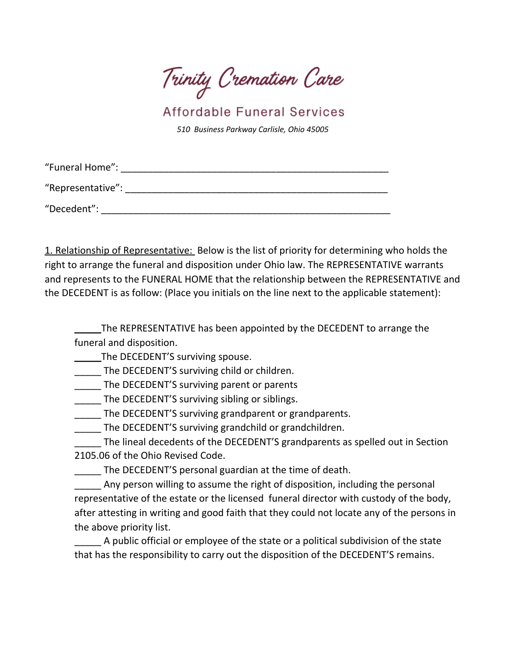Trinity Cremation Care

Affordable Funeral Services

*510 Business Parkway Carlisle, Ohio 45005*

| "Funeral Home":   |  |
|-------------------|--|
| "Representative": |  |
| "Decedent":       |  |

1. Relationship of Representative: Below is the list of priority for determining who holds the right to arrange the funeral and disposition under Ohio law. The REPRESENTATIVE warrants and represents to the FUNERAL HOME that the relationship between the REPRESENTATIVE and the DECEDENT is as follow: (Place you initials on the line next to the applicable statement):

The REPRESENTATIVE has been appointed by the DECEDENT to arrange the funeral and disposition.

The DECEDENT'S surviving spouse.

\_\_\_\_\_ The DECEDENT'S surviving child or children.

The DECEDENT'S surviving parent or parents

The DECEDENT'S surviving sibling or siblings.

**The DECEDENT'S surviving grandparent or grandparents.** 

The DECEDENT'S surviving grandchild or grandchildren.

The lineal decedents of the DECEDENT'S grandparents as spelled out in Section 2105.06 of the Ohio Revised Code.

The DECEDENT'S personal guardian at the time of death.

Any person willing to assume the right of disposition, including the personal representative of the estate or the licensed funeral director with custody of the body, after attesting in writing and good faith that they could not locate any of the persons in the above priority list.

\_\_\_\_\_ A public official or employee of the state or a political subdivision of the state that has the responsibility to carry out the disposition of the DECEDENT'S remains.